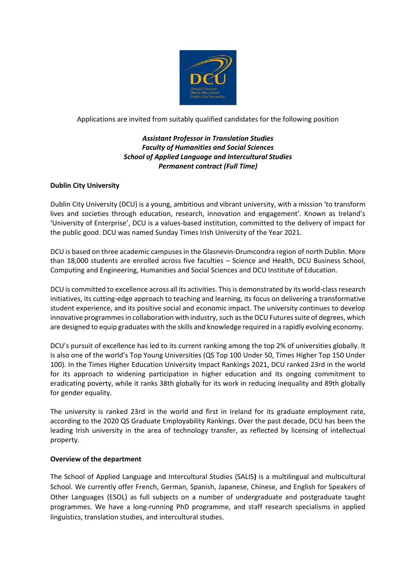

Applications are invited from suitably qualified candidates for the following position

# *Assistant Professor in Translation Studies Faculty of Humanities and Social Sciences School of Applied Language and Intercultural Studies Permanent contract (Full Time)*

## **Dublin City University**

Dublin City University (DCU) is a young, ambitious and vibrant university, with a mission 'to transform lives and societies through education, research, innovation and engagement'. Known as Ireland's 'University of Enterprise', DCU is a values-based institution, committed to the delivery of impact for the public good. DCU was named Sunday Times Irish University of the Year 2021.

DCU is based on three academic campuses in the Glasnevin-Drumcondra region of north Dublin. More than 18,000 students are enrolled across five faculties – Science and Health, DCU Business School, Computing and Engineering, Humanities and Social Sciences and DCU Institute of Education.

DCU is committed to excellence across all its activities. This is demonstrated by its world-class research initiatives, its cutting-edge approach to teaching and learning, its focus on delivering a transformative student experience, and its positive social and economic impact. The university continues to develop innovative programmes in collaboration with industry, such as the DCU Futures suite of degrees, which are designed to equip graduates with the skills and knowledge required in a rapidly evolving economy.

DCU's pursuit of excellence has led to its current ranking among the top 2% of universities globally. It is also one of the world's Top Young Universities (QS Top 100 Under 50, Times Higher Top 150 Under 100). In the Times Higher Education University Impact Rankings 2021, DCU ranked 23rd in the world for its approach to widening participation in higher education and its ongoing commitment to eradicating poverty, while it ranks 38th globally for its work in reducing inequality and 89th globally for gender equality.

The university is ranked 23rd in the world and first in Ireland for its graduate employment rate, according to the 2020 QS Graduate Employability Rankings. Over the past decade, DCU has been the leading Irish university in the area of technology transfer, as reflected by licensing of intellectual property.

### **Overview of the department**

The School of Applied Language and Intercultural Studies (SALIS**)** is a multilingual and multicultural School. We currently offer French, German, Spanish, Japanese, Chinese, and English for Speakers of Other Languages (ESOL) as full subjects on a number of undergraduate and postgraduate taught programmes. We have a long-running PhD programme, and staff research specialisms in applied linguistics, translation studies, and intercultural studies.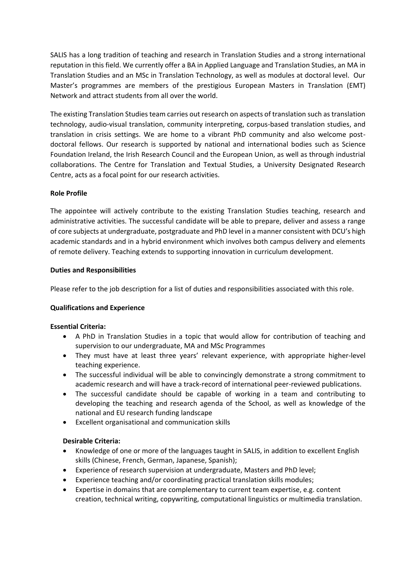SALIS has a long tradition of teaching and research in Translation Studies and a strong international reputation in this field. We currently offer a BA in Applied Language and Translation Studies, an MA in Translation Studies and an MSc in Translation Technology, as well as modules at doctoral level. Our Master's programmes are members of the prestigious European Masters in Translation (EMT) Network and attract students from all over the world.

The existing Translation Studies team carries out research on aspects of translation such as translation technology, audio-visual translation, community interpreting, corpus-based translation studies, and translation in crisis settings. We are home to a vibrant PhD community and also welcome postdoctoral fellows. Our research is supported by national and international bodies such as Science Foundation Ireland, the Irish Research Council and the European Union, as well as through industrial collaborations. The Centre for Translation and Textual Studies, a University Designated Research Centre, acts as a focal point for our research activities.

## **Role Profile**

The appointee will actively contribute to the existing Translation Studies teaching, research and administrative activities. The successful candidate will be able to prepare, deliver and assess a range of core subjects at undergraduate, postgraduate and PhD level in a manner consistent with DCU's high academic standards and in a hybrid environment which involves both campus delivery and elements of remote delivery. Teaching extends to supporting innovation in curriculum development.

## **Duties and Responsibilities**

Please refer to the job description for a list of duties and responsibilities associated with this role.

### **Qualifications and Experience**

### **Essential Criteria:**

- A PhD in Translation Studies in a topic that would allow for contribution of teaching and supervision to our undergraduate, MA and MSc Programmes
- They must have at least three years' relevant experience, with appropriate higher-level teaching experience.
- The successful individual will be able to convincingly demonstrate a strong commitment to academic research and will have a track-record of international peer-reviewed publications.
- The successful candidate should be capable of working in a team and contributing to developing the teaching and research agenda of the School, as well as knowledge of the national and EU research funding landscape
- Excellent organisational and communication skills

### **Desirable Criteria:**

- Knowledge of one or more of the languages taught in SALIS, in addition to excellent English skills (Chinese, French, German, Japanese, Spanish);
- Experience of research supervision at undergraduate, Masters and PhD level;
- Experience teaching and/or coordinating practical translation skills modules;
- Expertise in domains that are complementary to current team expertise, e.g. content creation, technical writing, copywriting, computational linguistics or multimedia translation.